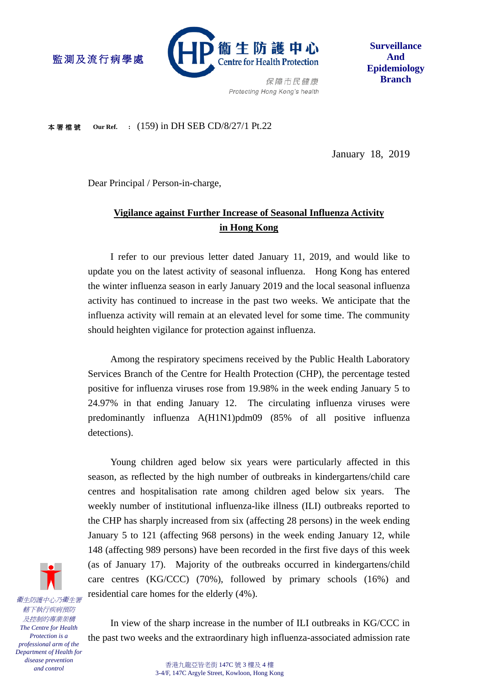

**Surveillance And Epidemiology Branch**

保障市民健康 Protecting Hong Kong's health

本署檔號 **Our Ref. :** (159) in DH SEB CD/8/27/1 Pt.22

監測及流行病學處

January 18, 2019

Dear Principal / Person-in-charge,

# **Vigilance against Further Increase of Seasonal Influenza Activity in Hong Kong**

I refer to our previous letter dated January 11, 2019, and would like to update you on the latest activity of seasonal influenza. Hong Kong has entered the winter influenza season in early January 2019 and the local seasonal influenza activity has continued to increase in the past two weeks. We anticipate that the influenza activity will remain at an elevated level for some time. The community should heighten vigilance for protection against influenza.

Among the respiratory specimens received by the Public Health Laboratory Services Branch of the Centre for Health Protection (CHP), the percentage tested positive for influenza viruses rose from 19.98% in the week ending January 5 to 24.97% in that ending January 12. The circulating influenza viruses were predominantly influenza A(H1N1)pdm09 (85% of all positive influenza detections).

Young children aged below six years were particularly affected in this season, as reflected by the high number of outbreaks in kindergartens/child care centres and hospitalisation rate among children aged below six years. The weekly number of institutional influenza-like illness (ILI) outbreaks reported to the CHP has sharply increased from six (affecting 28 persons) in the week ending January 5 to 121 (affecting 968 persons) in the week ending January 12, while 148 (affecting 989 persons) have been recorded in the first five days of this week (as of January 17). Majority of the outbreaks occurred in kindergartens/child care centres (KG/CCC) (70%), followed by primary schools (16%) and residential care homes for the elderly (4%).



In view of the sharp increase in the number of ILI outbreaks in KG/CCC in the past two weeks and the extraordinary high influenza-associated admission rate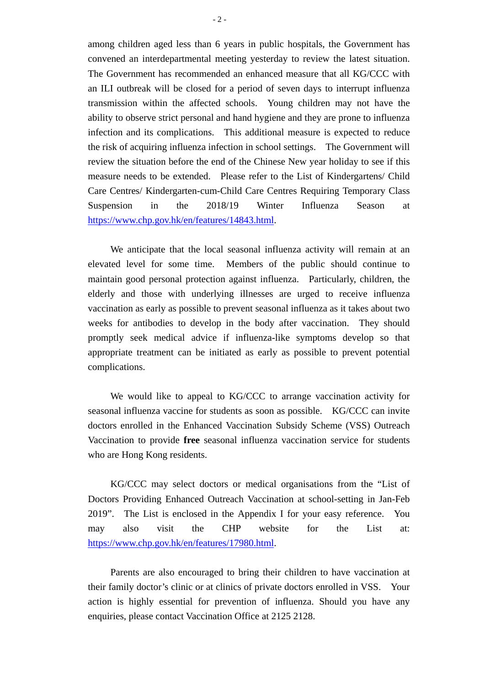among children aged less than 6 years in public hospitals, the Government has convened an interdepartmental meeting yesterday to review the latest situation. The Government has recommended an enhanced measure that all KG/CCC with an ILI outbreak will be closed for a period of seven days to interrupt influenza transmission within the affected schools. Young children may not have the ability to observe strict personal and hand hygiene and they are prone to influenza infection and its complications. This additional measure is expected to reduce the risk of acquiring influenza infection in school settings. The Government will review the situation before the end of the Chinese New year holiday to see if this measure needs to be extended. Please refer to the List of Kindergartens/ Child Care Centres/ Kindergarten-cum-Child Care Centres Requiring Temporary Class Suspension in the 2018/19 Winter Influenza Season at [https://www.chp.gov.hk/en/features/14843.html.](https://www.chp.gov.hk/en/features/14843.html)

We anticipate that the local seasonal influenza activity will remain at an elevated level for some time. Members of the public should continue to maintain good personal protection against influenza. Particularly, children, the elderly and those with underlying illnesses are urged to receive influenza vaccination as early as possible to prevent seasonal influenza as it takes about two weeks for antibodies to develop in the body after vaccination. They should promptly seek medical advice if influenza-like symptoms develop so that appropriate treatment can be initiated as early as possible to prevent potential complications.

We would like to appeal to KG/CCC to arrange vaccination activity for seasonal influenza vaccine for students as soon as possible. KG/CCC can invite doctors enrolled in the Enhanced Vaccination Subsidy Scheme (VSS) Outreach Vaccination to provide **free** seasonal influenza vaccination service for students who are Hong Kong residents.

KG/CCC may select doctors or medical organisations from the "List of Doctors Providing Enhanced Outreach Vaccination at school-setting in Jan-Feb 2019". The List is enclosed in the Appendix I for your easy reference. You may also visit the CHP website for the List at: [https://www.chp.gov.hk/en/features/17980.html.](https://www.chp.gov.hk/en/features/17980.html)

Parents are also encouraged to bring their children to have vaccination at their family doctor's clinic or at clinics of private doctors enrolled in VSS. Your action is highly essential for prevention of influenza. Should you have any enquiries, please contact Vaccination Office at 2125 2128.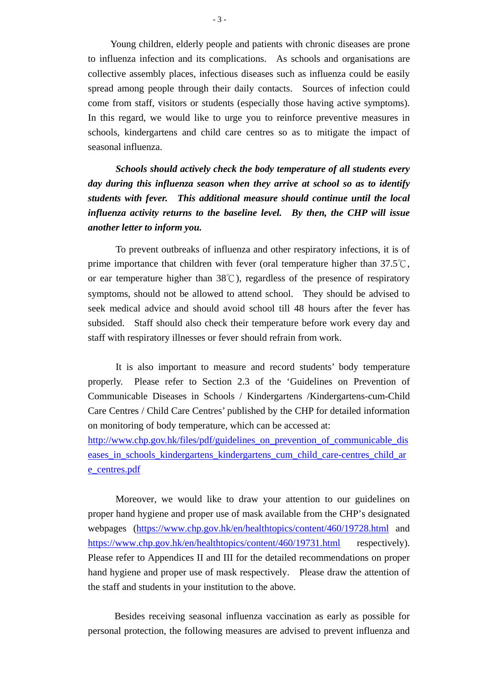Young children, elderly people and patients with chronic diseases are prone to influenza infection and its complications. As schools and organisations are collective assembly places, infectious diseases such as influenza could be easily spread among people through their daily contacts. Sources of infection could come from staff, visitors or students (especially those having active symptoms). In this regard, we would like to urge you to reinforce preventive measures in schools, kindergartens and child care centres so as to mitigate the impact of seasonal influenza.

*Schools should actively check the body temperature of all students every day during this influenza season when they arrive at school so as to identify students with fever. This additional measure should continue until the local influenza activity returns to the baseline level. By then, the CHP will issue another letter to inform you.* 

To prevent outbreaks of influenza and other respiratory infections, it is of prime importance that children with fever (oral temperature higher than 37.5℃, or ear temperature higher than 38℃), regardless of the presence of respiratory symptoms, should not be allowed to attend school. They should be advised to seek medical advice and should avoid school till 48 hours after the fever has subsided. Staff should also check their temperature before work every day and staff with respiratory illnesses or fever should refrain from work.

It is also important to measure and record students' body temperature properly. Please refer to Section 2.3 of the 'Guidelines on Prevention of Communicable Diseases in Schools / Kindergartens /Kindergartens-cum-Child Care Centres / Child Care Centres' published by the CHP for detailed information on monitoring of body temperature, which can be accessed at:

[http://www.chp.gov.hk/files/pdf/guidelines\\_on\\_prevention\\_of\\_communicable\\_dis](http://www.chp.gov.hk/files/pdf/guidelines_on_prevention_of_communicable_diseases_in_schools_kindergartens_kindergartens_cum_child_care-centres_child_are_centres.pdf) [eases\\_in\\_schools\\_kindergartens\\_kindergartens\\_cum\\_child\\_care-centres\\_child\\_ar](http://www.chp.gov.hk/files/pdf/guidelines_on_prevention_of_communicable_diseases_in_schools_kindergartens_kindergartens_cum_child_care-centres_child_are_centres.pdf) [e\\_centres.pdf](http://www.chp.gov.hk/files/pdf/guidelines_on_prevention_of_communicable_diseases_in_schools_kindergartens_kindergartens_cum_child_care-centres_child_are_centres.pdf)

Moreover, we would like to draw your attention to our guidelines on proper hand hygiene and proper use of mask available from the CHP's designated webpages [\(https://www.chp.gov.hk/en/healthtopics/content/460/19728.html](https://www.chp.gov.hk/en/healthtopics/content/460/19728.html) and <https://www.chp.gov.hk/en/healthtopics/content/460/19731.html> respectively). Please refer to Appendices II and III for the detailed recommendations on proper hand hygiene and proper use of mask respectively. Please draw the attention of the staff and students in your institution to the above.

Besides receiving seasonal influenza vaccination as early as possible for personal protection, the following measures are advised to prevent influenza and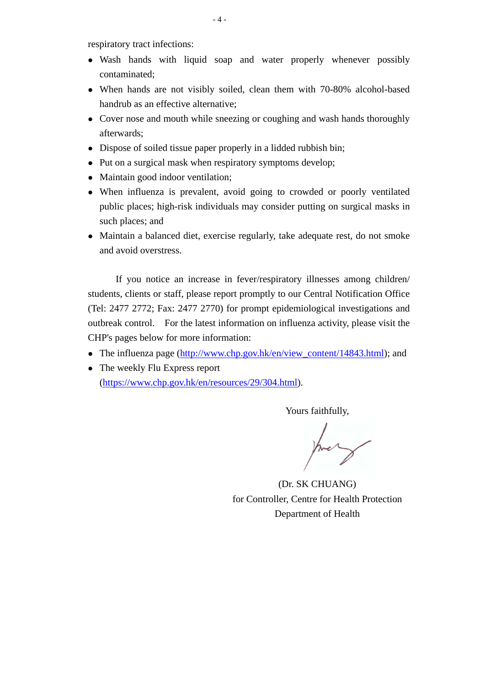respiratory tract infections:

- Wash hands with liquid soap and water properly whenever possibly contaminated;
- When hands are not visibly soiled, clean them with 70-80% alcohol-based handrub as an effective alternative;
- Cover nose and mouth while sneezing or coughing and wash hands thoroughly afterwards;
- Dispose of soiled tissue paper properly in a lidded rubbish bin;
- Put on a surgical mask when respiratory symptoms develop;
- Maintain good indoor ventilation:
- When influenza is prevalent, avoid going to crowded or poorly ventilated public places; high-risk individuals may consider putting on surgical masks in such places; and
- Maintain a balanced diet, exercise regularly, take adequate rest, do not smoke and avoid overstress.

If you notice an increase in fever/respiratory illnesses among children/ students, clients or staff, please report promptly to our Central Notification Office (Tel: 2477 2772; Fax: 2477 2770) for prompt epidemiological investigations and outbreak control. For the latest information on influenza activity, please visit the CHP's pages below for more information:

- The influenza page [\(http://www.chp.gov.hk/en/view\\_content/14843.html\)](http://www.chp.gov.hk/en/view_content/14843.html); and
- The weekly Flu Express report [\(https://www.chp.gov.hk/en/resources/29/304.html\)](https://www.chp.gov.hk/en/resources/29/304.html).

Yours faithfully,

(Dr. SK CHUANG) for Controller, Centre for Health Protection Department of Health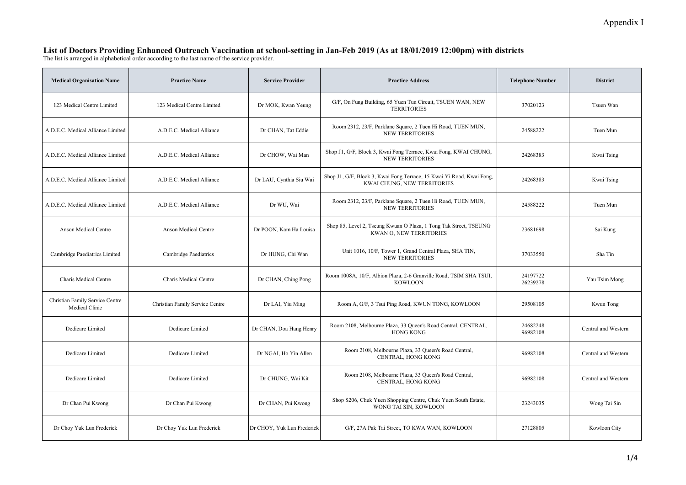#### List of Doctors Providing Enhanced Outreach Vaccination at school-setting in Jan-Feb 2019 (As at 18/01/2019 12:00pm) with districts

The list is arranged in alphabetical order according to the last name of the service provider.

| <b>Medical Organisation Name</b>                  | <b>Practice Name</b>            | <b>Service Provider</b>    | <b>Practice Address</b>                                                                              | <b>Telephone Number</b> | <b>District</b>     |
|---------------------------------------------------|---------------------------------|----------------------------|------------------------------------------------------------------------------------------------------|-------------------------|---------------------|
| 123 Medical Centre Limited                        | 123 Medical Centre Limited      | Dr MOK, Kwan Yeung         | G/F, On Fung Building, 65 Yuen Tun Circuit, TSUEN WAN, NEW<br><b>TERRITORIES</b>                     | 37020123                | Tsuen Wan           |
| A.D.E.C. Medical Alliance Limited                 | A.D.E.C. Medical Alliance       | Dr CHAN, Tat Eddie         | Room 2312, 23/F, Parklane Square, 2 Tuen Hi Road, TUEN MUN,<br><b>NEW TERRITORIES</b>                | 24588222                | Tuen Mun            |
| A.D.E.C. Medical Alliance Limited                 | A.D.E.C. Medical Alliance       | Dr CHOW, Wai Man           | Shop J1, G/F, Block 3, Kwai Fong Terrace, Kwai Fong, KWAI CHUNG,<br><b>NEW TERRITORIES</b>           | 24268383                | Kwai Tsing          |
| A.D.E.C. Medical Alliance Limited                 | A.D.E.C. Medical Alliance       | Dr LAU, Cynthia Siu Wai    | Shop J1, G/F, Block 3, Kwai Fong Terrace, 15 Kwai Yi Road, Kwai Fong,<br>KWAI CHUNG, NEW TERRITORIES | 24268383                | Kwai Tsing          |
| A.D.E.C. Medical Alliance Limited                 | A.D.E.C. Medical Alliance       | Dr WU, Wai                 | Room 2312, 23/F, Parklane Square, 2 Tuen Hi Road, TUEN MUN,<br><b>NEW TERRITORIES</b>                | 24588222                | Tuen Mun            |
| <b>Anson Medical Centre</b>                       | <b>Anson Medical Centre</b>     | Dr POON, Kam Ha Louisa     | Shop 85, Level 2, Tseung Kwuan O Plaza, 1 Tong Tak Street, TSEUNG<br>KWAN O, NEW TERRITORIES         | 23681698                | Sai Kung            |
| Cambridge Paediatrics Limited                     | Cambridge Paediatrics           | Dr HUNG, Chi Wan           | Unit 1016, 10/F, Tower 1, Grand Central Plaza, SHA TIN,<br><b>NEW TERRITORIES</b>                    | 37033550                | Sha Tin             |
| Charis Medical Centre                             | Charis Medical Centre           | Dr CHAN, Ching Pong        | Room 1008A, 10/F, Albion Plaza, 2-6 Granville Road, TSIM SHA TSUI,<br><b>KOWLOON</b>                 | 24197722<br>26239278    | Yau Tsim Mong       |
| Christian Family Service Centre<br>Medical Clinic | Christian Family Service Centre | Dr LAI, Yiu Ming           | Room A, G/F, 3 Tsui Ping Road, KWUN TONG, KOWLOON                                                    | 29508105                | Kwun Tong           |
| Dedicare Limited                                  | Dedicare Limited                | Dr CHAN, Doa Hang Henry    | Room 2108, Melbourne Plaza, 33 Queen's Road Central, CENTRAL,<br><b>HONG KONG</b>                    | 24682248<br>96982108    | Central and Western |
| Dedicare Limited                                  | Dedicare Limited                | Dr NGAI, Ho Yin Allen      | Room 2108, Melbourne Plaza, 33 Queen's Road Central,<br>CENTRAL, HONG KONG                           | 96982108                | Central and Western |
| Dedicare Limited                                  | Dedicare Limited                | Dr CHUNG, Wai Kit          | Room 2108, Melbourne Plaza, 33 Queen's Road Central,<br>CENTRAL, HONG KONG                           | 96982108                | Central and Western |
| Dr Chan Pui Kwong                                 | Dr Chan Pui Kwong               | Dr CHAN, Pui Kwong         | Shop S206, Chuk Yuen Shopping Centre, Chuk Yuen South Estate,<br>WONG TAI SIN, KOWLOON               | 23243035                | Wong Tai Sin        |
| Dr Choy Yuk Lun Frederick                         | Dr Choy Yuk Lun Frederick       | Dr CHOY, Yuk Lun Frederick | G/F, 27A Pak Tai Street, TO KWA WAN, KOWLOON                                                         | 27128805                | Kowloon City        |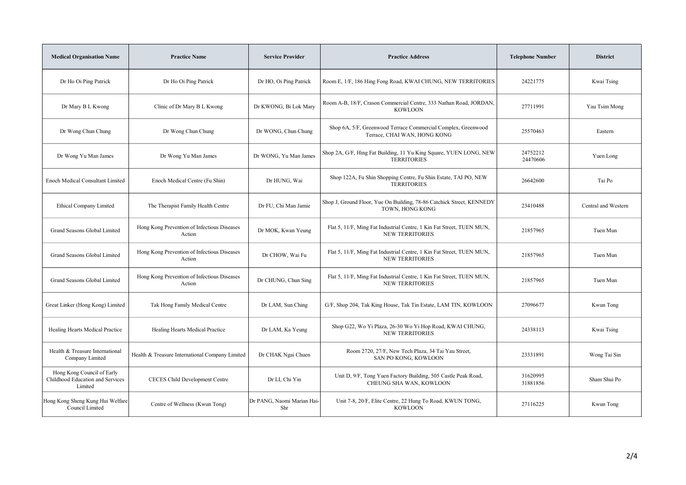| <b>Medical Organisation Name</b>                                          | <b>Practice Name</b>                                  | <b>Service Provider</b>           | <b>Practice Address</b>                                                                         | <b>Telephone Number</b> | <b>District</b>     |
|---------------------------------------------------------------------------|-------------------------------------------------------|-----------------------------------|-------------------------------------------------------------------------------------------------|-------------------------|---------------------|
| Dr Ho Oi Ping Patrick                                                     | Dr Ho Oi Ping Patrick                                 | Dr HO, Oi Ping Patrick            | Room E, 1/F, 186 Hing Fong Road, KWAI CHUNG, NEW TERRITORIES                                    | 24221775                | Kwai Tsing          |
| Dr Mary B L Kwong                                                         | Clinic of Dr Mary B L Kwong                           | Dr KWONG, Bi Lok Mary             | Room A-B, 18/F, Crason Commercial Centre, 333 Nathan Road, JORDAN,<br><b>KOWLOON</b>            | 27711991                | Yau Tsim Mong       |
| Dr Wong Chun Chung                                                        | Dr Wong Chun Chung                                    | Dr WONG, Chun Chung               | Shop 6A, 5/F, Greenwood Terrace Commercial Complex, Greenwood<br>Terrace, CHAI WAN, HONG KONG   | 25570463                | Eastern             |
| Dr Wong Yu Man James                                                      | Dr Wong Yu Man James                                  | Dr WONG, Yu Man James             | Shop 2A, G/F, Hing Fat Building, 11 Yu King Square, YUEN LONG, NEW<br><b>TERRITORIES</b>        | 24752212<br>24470606    | Yuen Long           |
| <b>Enoch Medical Consultant Limited</b>                                   | Enoch Medical Centre (Fu Shin)                        | Dr HUNG, Wai                      | Shop 122A, Fu Shin Shopping Centre, Fu Shin Estate, TAI PO, NEW<br><b>TERRITORIES</b>           | 26642600                | Tai Po              |
| <b>Ethical Company Limited</b>                                            | The Therapist Family Health Centre                    | Dr FU, Chi Man Jamie              | Shop J, Ground Floor, Yue On Building, 78-86 Catchick Street, KENNEDY<br>TOWN, HONG KONG        | 23410488                | Central and Western |
| Grand Seasons Global Limited                                              | Hong Kong Prevention of Infectious Diseases<br>Action | Dr MOK, Kwan Yeung                | Flat 5, 11/F, Ming Fat Industrial Centre, 1 Kin Fat Street, TUEN MUN,<br><b>NEW TERRITORIES</b> | 21857965                | Tuen Mun            |
| Grand Seasons Global Limited                                              | Hong Kong Prevention of Infectious Diseases<br>Action | Dr CHOW, Wai Fu                   | Flat 5, 11/F, Ming Fat Industrial Centre, 1 Kin Fat Street, TUEN MUN,<br><b>NEW TERRITORIES</b> | 21857965                | Tuen Mun            |
| Grand Seasons Global Limited                                              | Hong Kong Prevention of Infectious Diseases<br>Action | Dr CHUNG, Chun Sing               | Flat 5, 11/F, Ming Fat Industrial Centre, 1 Kin Fat Street, TUEN MUN,<br><b>NEW TERRITORIES</b> | 21857965                | Tuen Mun            |
| Great Linker (Hong Kong) Limited                                          | Tak Hong Family Medical Centre                        | Dr LAM, Sun Ching                 | G/F, Shop 204, Tak King House, Tak Tin Estate, LAM TIN, KOWLOON                                 | 27096677                | Kwun Tong           |
| Healing Hearts Medical Practice                                           | Healing Hearts Medical Practice                       | Dr LAM, Ka Yeung                  | Shop G22, Wo Yi Plaza, 26-30 Wo Yi Hop Road, KWAI CHUNG,<br><b>NEW TERRITORIES</b>              | 24338113                | Kwai Tsing          |
| Health & Treasure International<br>Company Limited                        | Health & Treasure International Company Limited       | Dr CHAK Ngai Chuen                | Room 2720, 27/F, New Tech Plaza, 34 Tai Yau Street,<br>SAN PO KONG, KOWLOON                     | 23331891                | Wong Tai Sin        |
| Hong Kong Council of Early<br>Childhood Education and Services<br>Limited | CECES Child Development Centre                        | Dr LI, Chi Yin                    | Unit D, 9/F, Tong Yuen Factory Building, 505 Castle Peak Road,<br>CHEUNG SHA WAN, KOWLOON       | 31620995<br>31881856    | Sham Shui Po        |
| Hong Kong Sheng Kung Hui Welfare<br>Council Limited                       | Centre of Wellness (Kwun Tong)                        | Dr PANG, Naomi Marian Hai-<br>Shr | Unit 7-8, 20/F, Elite Centre, 22 Hung To Road, KWUN TONG,<br><b>KOWLOON</b>                     | 27116225                | Kwun Tong           |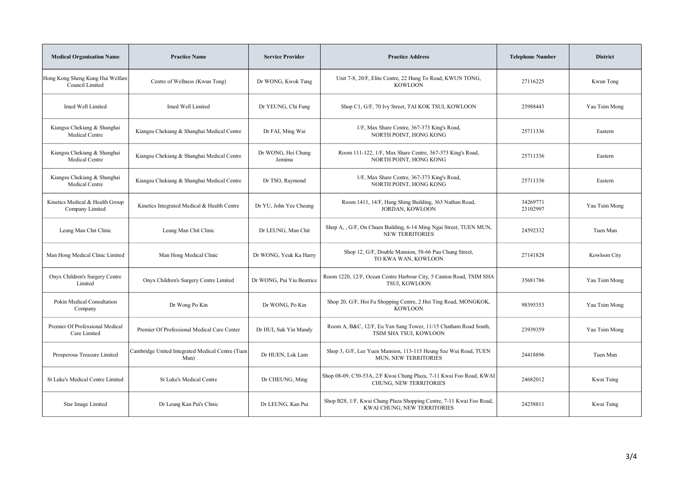| <b>Medical Organisation Name</b>                    | <b>Practice Name</b>                                     | <b>Service Provider</b>      | <b>Practice Address</b>                                                                             | <b>Telephone Number</b> | <b>District</b> |
|-----------------------------------------------------|----------------------------------------------------------|------------------------------|-----------------------------------------------------------------------------------------------------|-------------------------|-----------------|
| Hong Kong Sheng Kung Hui Welfare<br>Council Limited | Centre of Wellness (Kwun Tong)                           | Dr WONG, Kwok Tung           | Unit 7-8, 20/F, Elite Centre, 22 Hung To Road, KWUN TONG,<br><b>KOWLOON</b>                         | 27116225                | Kwun Tong       |
| Imed Well Limited                                   | Imed Well Limited                                        | Dr YEUNG, Chi Fung           | Shop C1, G/F, 70 Ivy Street, TAI KOK TSUI, KOWLOON                                                  | 23988443                | Yau Tsim Mong   |
| Kiangsu Chekiang & Shanghai<br>Medical Centre       | Kiangsu Chekiang & Shanghai Medical Centre               | Dr FAI, Ming Wai             | 1/F, Max Share Centre, 367-373 King's Road,<br>NORTH POINT, HONG KONG                               | 25711336                | Eastern         |
| Kiangsu Chekiang & Shanghai<br>Medical Centre       | Kiangsu Chekiang & Shanghai Medical Centre               | Dr WONG, Hei Chung<br>Jemima | Room 111-122, 1/F, Max Share Centre, 367-373 King's Road,<br>NORTH POINT, HONG KONG                 | 25711336                | Eastern         |
| Kiangsu Chekiang & Shanghai<br>Medical Centre       | Kiangsu Chekiang & Shanghai Medical Centre               | Dr TSO, Raymond              | 1/F, Max Share Centre, 367-373 King's Road,<br>NORTH POINT, HONG KONG                               | 25711336                | Eastern         |
| Kinetics Medical & Health Group<br>Company Limited  | Kinetics Integrated Medical & Health Centre              | Dr YU, John Yee Cheung       | Room 1411, 14/F, Hang Shing Building, 363 Nathan Road,<br>JORDAN, KOWLOON                           | 34269771<br>23102997    | Yau Tsim Mong   |
| Leung Man Chit Clinic                               | Leung Man Chit Clinic                                    | Dr LEUNG, Man Chit           | Shop A, , G/F, On Chuen Building, 6-14 Ming Ngai Street, TUEN MUN,<br><b>NEW TERRITORIES</b>        | 24592332                | Tuen Mun        |
| Man Hong Medical Clinic Limited                     | Man Hong Medical Clinic                                  | Dr WONG, Yeuk Ka Harry       | Shop 12, G/F, Double Mansion, 58-66 Pau Chung Street,<br>TO KWA WAN, KOWLOON                        | 27141828                | Kowloon City    |
| Onyx Children's Surgery Centre<br>Limited           | Onyx Children's Surgery Centre Limited                   | Dr WONG, Pui Yiu Beatrice    | Room 1220, 12/F, Ocean Centre Harbour City, 5 Canton Road, TSIM SHA<br>TSUI, KOWLOON                | 35681786                | Yau Tsim Mong   |
| Pokin Medical Consultation<br>Company               | Dr Wong Po Kin                                           | Dr WONG, Po Kin              | Shop 20, G/F, Hoi Fu Shopping Centre, 2 Hoi Ting Road, MONGKOK,<br><b>KOWLOON</b>                   | 98395353                | Yau Tsim Mong   |
| Premier Of Professional Medical<br>Care Limited     | Premier Of Professional Medical Care Center              | Dr HUI, Suk Yin Mandy        | Room A, B&C, 12/F, Eu Yan Sang Tower, 11/15 Chatham Road South,<br>TSIM SHA TSUI, KOWLOON           | 23939359                | Yau Tsim Mong   |
| Prosperous Treasure Limited                         | Cambridge United Integrated Medical Centre (Tuen<br>Mun) | Dr HUEN, Lok Lam             | Shop 3, G/F, Lee Yuen Mansion, 113-115 Heung Sze Wui Road, TUEN<br>MUN, NEW TERRITORIES             | 24418896                | Tuen Mun        |
| St Luke's Medical Centre Limited                    | St Luke's Medical Centre                                 | Dr CHEUNG, Ming              | Shop 08-09, C50-53A, 2/F Kwai Chung Plaza, 7-11 Kwai Foo Road, KWAI<br>CHUNG, NEW TERRITORIES       | 24682012                | Kwai Tsing      |
| Star Image Limited                                  | Dr Leung Kan Pui's Clinic                                | Dr LEUNG, Kan Pui            | Shop B28, 1/F, Kwai Chung Plaza Shopping Centre, 7-11 Kwai Foo Road,<br>KWAI CHUNG, NEW TERRITORIES | 24258811                | Kwai Tsing      |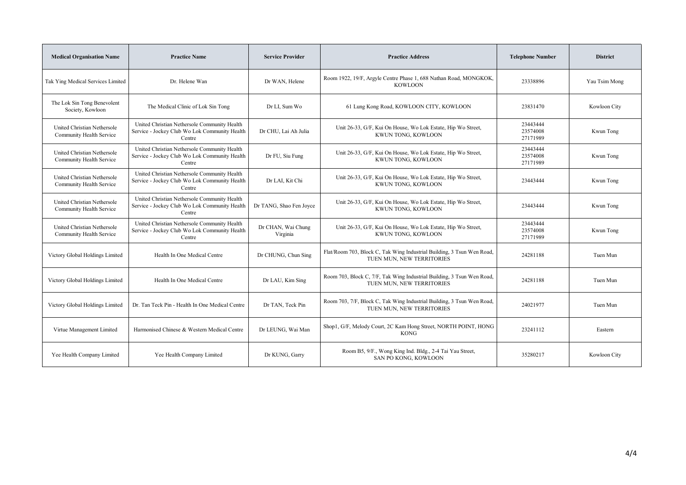| <b>Medical Organisation Name</b>                        | <b>Practice Name</b>                                                                                    | <b>Service Provider</b>        | <b>Practice Address</b>                                                                             | <b>Telephone Number</b>          | <b>District</b> |
|---------------------------------------------------------|---------------------------------------------------------------------------------------------------------|--------------------------------|-----------------------------------------------------------------------------------------------------|----------------------------------|-----------------|
| Tak Ying Medical Services Limited                       | Dr. Helene Wan                                                                                          | Dr WAN, Helene                 | Room 1922, 19/F, Argyle Centre Phase 1, 688 Nathan Road, MONGKOK,<br><b>KOWLOON</b>                 | 23338896                         | Yau Tsim Mong   |
| The Lok Sin Tong Benevolent<br>Society, Kowloon         | The Medical Clinic of Lok Sin Tong                                                                      | Dr LI, Sum Wo                  | 61 Lung Kong Road, KOWLOON CITY, KOWLOON                                                            | 23831470                         | Kowloon City    |
| United Christian Nethersole<br>Community Health Service | United Christian Nethersole Community Health<br>Service - Jockey Club Wo Lok Community Health<br>Centre | Dr CHU, Lai Ah Julia           | Unit 26-33, G/F, Kui On House, Wo Lok Estate, Hip Wo Street,<br>KWUN TONG, KOWLOON                  | 23443444<br>23574008<br>27171989 | Kwun Tong       |
| United Christian Nethersole<br>Community Health Service | United Christian Nethersole Community Health<br>Service - Jockey Club Wo Lok Community Health<br>Centre | Dr FU, Siu Fung                | Unit 26-33, G/F, Kui On House, Wo Lok Estate, Hip Wo Street,<br>KWUN TONG, KOWLOON                  | 23443444<br>23574008<br>27171989 | Kwun Tong       |
| United Christian Nethersole<br>Community Health Service | United Christian Nethersole Community Health<br>Service - Jockey Club Wo Lok Community Health<br>Centre | Dr LAI, Kit Chi                | Unit 26-33, G/F, Kui On House, Wo Lok Estate, Hip Wo Street,<br>KWUN TONG, KOWLOON                  | 23443444                         | Kwun Tong       |
| United Christian Nethersole<br>Community Health Service | United Christian Nethersole Community Health<br>Service - Jockey Club Wo Lok Community Health<br>Centre | Dr TANG, Shao Fen Joyce        | Unit 26-33, G/F, Kui On House, Wo Lok Estate, Hip Wo Street,<br>KWUN TONG, KOWLOON                  | 23443444                         | Kwun Tong       |
| United Christian Nethersole<br>Community Health Service | United Christian Nethersole Community Health<br>Service - Jockey Club Wo Lok Community Health<br>Centre | Dr CHAN, Wai Chung<br>Virginia | Unit 26-33, G/F, Kui On House, Wo Lok Estate, Hip Wo Street,<br>KWUN TONG, KOWLOON                  | 23443444<br>23574008<br>27171989 | Kwun Tong       |
| Victory Global Holdings Limited                         | Health In One Medical Centre                                                                            | Dr CHUNG, Chun Sing            | Flat/Room 703, Block C, Tak Wing Industrial Building, 3 Tsun Wen Road,<br>TUEN MUN, NEW TERRITORIES | 24281188                         | Tuen Mun        |
| Victory Global Holdings Limited                         | Health In One Medical Centre                                                                            | Dr LAU, Kim Sing               | Room 703, Block C, 7/F, Tak Wing Industrial Building, 3 Tsun Wen Road,<br>TUEN MUN, NEW TERRITORIES | 24281188                         | Tuen Mun        |
| Victory Global Holdings Limited                         | Dr. Tan Teck Pin - Health In One Medical Centre                                                         | Dr TAN, Teck Pin               | Room 703, 7/F, Block C, Tak Wing Industrial Building, 3 Tsun Wen Road,<br>TUEN MUN, NEW TERRITORIES | 24021977                         | Tuen Mun        |
| Virtue Management Limited                               | Harmonised Chinese & Western Medical Centre                                                             | Dr LEUNG, Wai Man              | Shop1, G/F, Melody Court, 2C Kam Hong Street, NORTH POINT, HONG<br><b>KONG</b>                      | 23241112                         | Eastern         |
| Yee Health Company Limited                              | Yee Health Company Limited                                                                              | Dr KUNG, Garry                 | Room B5, 9/F., Wong King Ind. Bldg., 2-4 Tai Yau Street,<br>SAN PO KONG, KOWLOON                    | 35280217                         | Kowloon City    |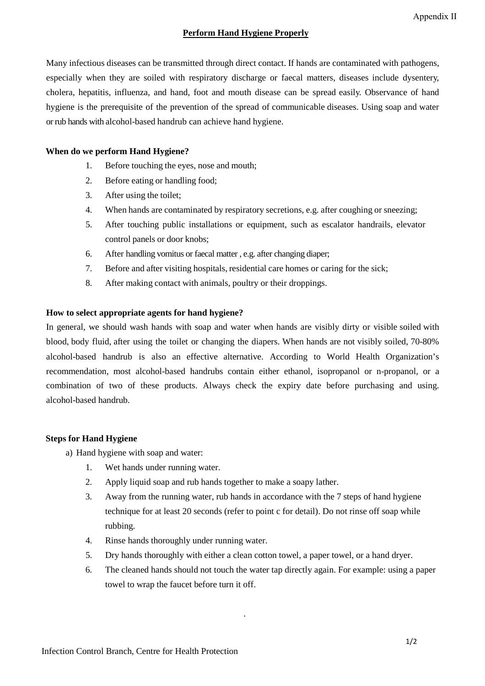## **Perform Hand Hygiene Properly**

Many infectious diseases can be transmitted through direct contact. If hands are contaminated with pathogens, especially when they are soiled with respiratory discharge or faecal matters, diseases include dysentery, cholera, hepatitis, influenza, and hand, foot and mouth disease can be spread easily. Observance of hand hygiene is the prerequisite of the prevention of the spread of communicable diseases. Using soap and water or rub hands with alcohol-based handrub can achieve hand hygiene.

### **When do we perform Hand Hygiene?**

- 1. Before touching the eyes, nose and mouth;
- 2. Before eating or handling food;
- 3. After using the toilet;
- 4. When hands are contaminated by respiratory secretions, e.g. after coughing or sneezing;
- 5. After touching public installations or equipment, such as escalator handrails, elevator control panels or door knobs;
- 6. After handling vomitus or faecal matter , e.g. after changing diaper;
- 7. Before and after visiting hospitals, residential care homes or caring for the sick;
- 8. After making contact with animals, poultry or their droppings.

#### **How to select appropriate agents for hand hygiene?**

In general, we should wash hands with soap and water when hands are visibly dirty or visible soiled with blood, body fluid, after using the toilet or changing the diapers. When hands are not visibly soiled, 70-80% alcohol-based handrub is also an effective alternative. According to World Health Organization's recommendation, most alcohol-based handrubs contain either ethanol, isopropanol or n-propanol, or a combination of two of these products. Always check the expiry date before purchasing and using. alcohol-based handrub.

#### **Steps for Hand Hygiene**

- a) Hand hygiene with soap and water:
	- 1. Wet hands under running water.
	- 2. Apply liquid soap and rub hands together to make a soapy lather.
	- 3. Away from the running water, rub hands in accordance with the 7 steps of hand hygiene technique for at least 20 seconds (refer to point c for detail). Do not rinse off soap while rubbing.
	- 4. Rinse hands thoroughly under running water.
	- 5. Dry hands thoroughly with either a clean cotton towel, a paper towel, or a hand dryer.

.

6. The cleaned hands should not touch the water tap directly again. For example: using a paper towel to wrap the faucet before turn it off.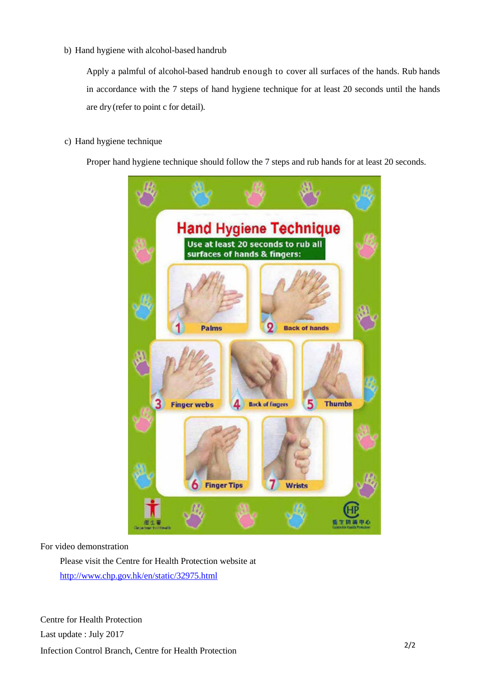b) Hand hygiene with alcohol-based handrub

Apply a palmful of alcohol-based handrub enough to cover all surfaces of the hands. Rub hands in accordance with the 7 steps of hand hygiene technique for at least 20 seconds until the hands are dry (refer to point c for detail).

c) Hand hygiene technique

Proper hand hygiene technique should follow the 7 steps and rub hands for at least 20 seconds.



For video demonstration

Please visit the Centre for Health Protection website at <http://www.chp.gov.hk/en/static/32975.html>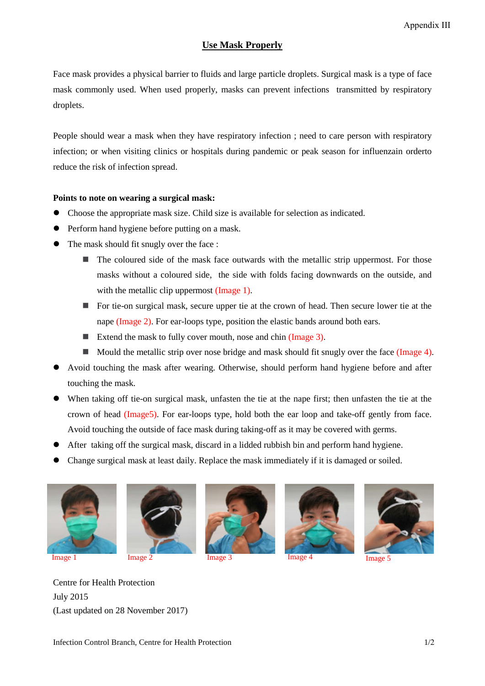## **Use Mask Properly**

Face mask provides a physical barrier to fluids and large particle droplets. Surgical mask is a type of face mask commonly used. When used properly, masks can prevent infections transmitted by respiratory droplets.

People should wear a mask when they have respiratory infection ; need to care person with respiratory infection; or when visiting clinics or hospitals during pandemic or peak season for influenzain orderto reduce the risk of infection spread.

#### **Points to note on wearing a surgical mask:**

- Choose the appropriate mask size. Child size is available for selection as indicated.
- Perform hand hygiene before putting on a mask.
- The mask should fit snugly over the face :
	- $\blacksquare$  The coloured side of the mask face outwards with the metallic strip uppermost. For those masks without a coloured side, the side with folds facing downwards on the outside, and with the metallic clip uppermost (Image 1).
	- For tie-on surgical mask, secure upper tie at the crown of head. Then secure lower tie at the nape (Image 2). For ear-loops type, position the elastic bands around both ears.
	- Extend the mask to fully cover mouth, nose and chin (Image 3).
	- Mould the metallic strip over nose bridge and mask should fit snugly over the face (Image 4).
- Avoid touching the mask after wearing. Otherwise, should perform hand hygiene before and after touching the mask.
- When taking off tie-on surgical mask, unfasten the tie at the nape first; then unfasten the tie at the crown of head (Image5). For ear-loops type, hold both the ear loop and take-off gently from face. Avoid touching the outside of face mask during taking-off as it may be covered with germs.
- After taking off the surgical mask, discard in a lidded rubbish bin and perform hand hygiene.
- Change surgical mask at least daily. Replace the mask immediately if it is damaged or soiled.













Centre for Health Protection July 2015 (Last updated on 28 November 2017)